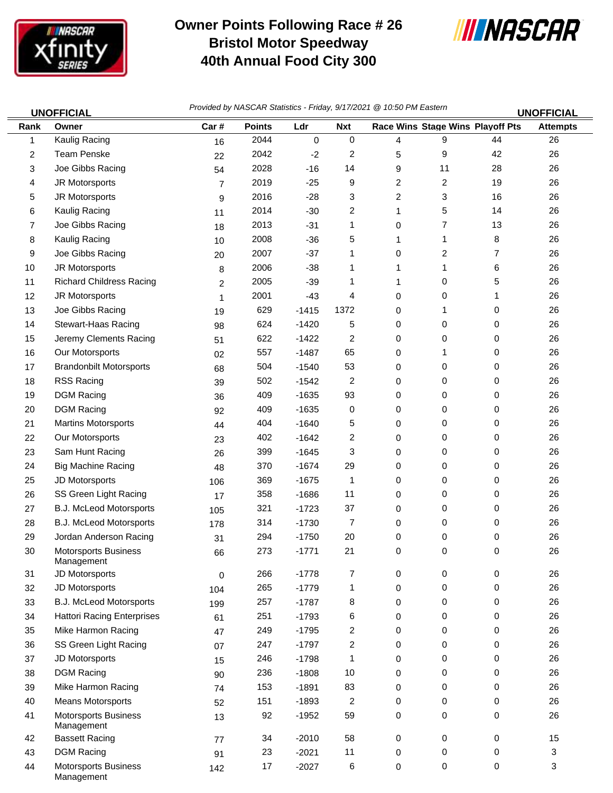

## **Owner Points Following Race # 26 Bristol Motor Speedway 40th Annual Food City 300**



|                | <b>UNOFFICIAL</b>                         | Provided by NASCAR Statistics - Friday, 9/17/2021 @ 10:50 PM Eastern<br><b>UNOFFICIAL</b> |               |         |            |                |                                  |    |                 |
|----------------|-------------------------------------------|-------------------------------------------------------------------------------------------|---------------|---------|------------|----------------|----------------------------------|----|-----------------|
| Rank           | Owner                                     | Car#                                                                                      | <b>Points</b> | Ldr     | <b>Nxt</b> |                | Race Wins Stage Wins Playoff Pts |    | <b>Attempts</b> |
| 1              | Kaulig Racing                             | 16                                                                                        | 2044          | 0       | 0          | 4              | 9                                | 44 | 26              |
| $\overline{2}$ | <b>Team Penske</b>                        | 22                                                                                        | 2042          | $-2$    | 2          | 5              | 9                                | 42 | 26              |
| 3              | Joe Gibbs Racing                          | 54                                                                                        | 2028          | $-16$   | 14         | 9              | 11                               | 28 | 26              |
| 4              | JR Motorsports                            | 7                                                                                         | 2019          | $-25$   | 9          | $\overline{c}$ | 2                                | 19 | 26              |
| 5              | JR Motorsports                            | 9                                                                                         | 2016          | $-28$   | 3          | $\overline{c}$ | 3                                | 16 | 26              |
| 6              | Kaulig Racing                             | 11                                                                                        | 2014          | $-30$   | 2          | 1              | 5                                | 14 | 26              |
| 7              | Joe Gibbs Racing                          | 18                                                                                        | 2013          | $-31$   | 1          | 0              | $\overline{7}$                   | 13 | 26              |
| 8              | Kaulig Racing                             | 10                                                                                        | 2008          | $-36$   | 5          | 1              | 1                                | 8  | 26              |
| 9              | Joe Gibbs Racing                          | 20                                                                                        | 2007          | $-37$   | 1          | 0              | 2                                | 7  | 26              |
| 10             | JR Motorsports                            | 8                                                                                         | 2006          | $-38$   | 1          | 1              | 1                                | 6  | 26              |
| 11             | <b>Richard Childress Racing</b>           | $\overline{c}$                                                                            | 2005          | $-39$   | 1          | 1              | 0                                | 5  | 26              |
| 12             | JR Motorsports                            | 1                                                                                         | 2001          | $-43$   | 4          | 0              | 0                                | 1  | 26              |
| 13             | Joe Gibbs Racing                          | 19                                                                                        | 629           | $-1415$ | 1372       | 0              | 1                                | 0  | 26              |
| 14             | Stewart-Haas Racing                       | 98                                                                                        | 624           | $-1420$ | 5          | 0              | 0                                | 0  | 26              |
| 15             | Jeremy Clements Racing                    | 51                                                                                        | 622           | $-1422$ | 2          | 0              | 0                                | 0  | 26              |
| 16             | Our Motorsports                           | 02                                                                                        | 557           | $-1487$ | 65         | 0              | 1                                | 0  | 26              |
| 17             | <b>Brandonbilt Motorsports</b>            | 68                                                                                        | 504           | $-1540$ | 53         | 0              | 0                                | 0  | 26              |
| 18             | <b>RSS Racing</b>                         | 39                                                                                        | 502           | $-1542$ | 2          | 0              | 0                                | 0  | 26              |
| 19             | <b>DGM Racing</b>                         | 36                                                                                        | 409           | $-1635$ | 93         | 0              | 0                                | 0  | 26              |
| 20             | <b>DGM Racing</b>                         | 92                                                                                        | 409           | $-1635$ | 0          | 0              | 0                                | 0  | 26              |
| 21             | <b>Martins Motorsports</b>                | 44                                                                                        | 404           | $-1640$ | 5          | 0              | 0                                | 0  | 26              |
| 22             | Our Motorsports                           | 23                                                                                        | 402           | $-1642$ | 2          | 0              | 0                                | 0  | 26              |
| 23             | Sam Hunt Racing                           | 26                                                                                        | 399           | $-1645$ | 3          | 0              | 0                                | 0  | 26              |
| 24             | <b>Big Machine Racing</b>                 | 48                                                                                        | 370           | $-1674$ | 29         | 0              | 0                                | 0  | 26              |
| 25             | JD Motorsports                            | 106                                                                                       | 369           | $-1675$ | 1          | 0              | 0                                | 0  | 26              |
| 26             | SS Green Light Racing                     | 17                                                                                        | 358           | $-1686$ | 11         | 0              | 0                                | 0  | 26              |
| 27             | B.J. McLeod Motorsports                   | 105                                                                                       | 321           | $-1723$ | 37         | 0              | 0                                | 0  | 26              |
| 28             | <b>B.J. McLeod Motorsports</b>            | 178                                                                                       | 314           | $-1730$ | 7          | 0              | 0                                | 0  | 26              |
| 29             | Jordan Anderson Racing                    | 31                                                                                        | 294           | $-1750$ | 20         | 0              | 0                                | 0  | 26              |
| 30             | Motorsports Business<br>Management        | 66                                                                                        | 273           | $-1771$ | 21         | 0              | 0                                | 0  | 26              |
| 31             | JD Motorsports                            | 0                                                                                         | 266           | $-1778$ | 7          | 0              | 0                                | 0  | 26              |
| 32             | JD Motorsports                            | 104                                                                                       | 265           | $-1779$ | 1          | 0              | 0                                | 0  | 26              |
| 33             | B.J. McLeod Motorsports                   | 199                                                                                       | 257           | $-1787$ | 8          | 0              | 0                                | 0  | 26              |
| 34             | <b>Hattori Racing Enterprises</b>         | 61                                                                                        | 251           | $-1793$ | 6          | 0              | 0                                | 0  | 26              |
| 35             | Mike Harmon Racing                        | 47                                                                                        | 249           | $-1795$ | 2          | 0              | 0                                | 0  | 26              |
| 36             | SS Green Light Racing                     | 07                                                                                        | 247           | $-1797$ | 2          | 0              | 0                                | 0  | 26              |
| 37             | JD Motorsports                            | 15                                                                                        | 246           | $-1798$ | 1          | 0              | 0                                | 0  | 26              |
| 38             | <b>DGM Racing</b>                         | 90                                                                                        | 236           | $-1808$ | 10         | 0              | 0                                | 0  | 26              |
| 39             | Mike Harmon Racing                        | 74                                                                                        | 153           | $-1891$ | 83         | 0              | 0                                | 0  | 26              |
| 40             | <b>Means Motorsports</b>                  | 52                                                                                        | 151           | $-1893$ | 2          | 0              | 0                                | 0  | 26              |
| 41             | <b>Motorsports Business</b><br>Management | 13                                                                                        | 92            | $-1952$ | 59         | 0              | 0                                | 0  | 26              |
| 42             | <b>Bassett Racing</b>                     | 77                                                                                        | 34            | $-2010$ | 58         | 0              | 0                                | 0  | 15              |
| 43             | <b>DGM Racing</b>                         | 91                                                                                        | 23            | $-2021$ | 11         | 0              | 0                                | 0  | 3               |
| 44             | <b>Motorsports Business</b><br>Management | 142                                                                                       | 17            | $-2027$ | 6          | 0              | 0                                | 0  | 3               |